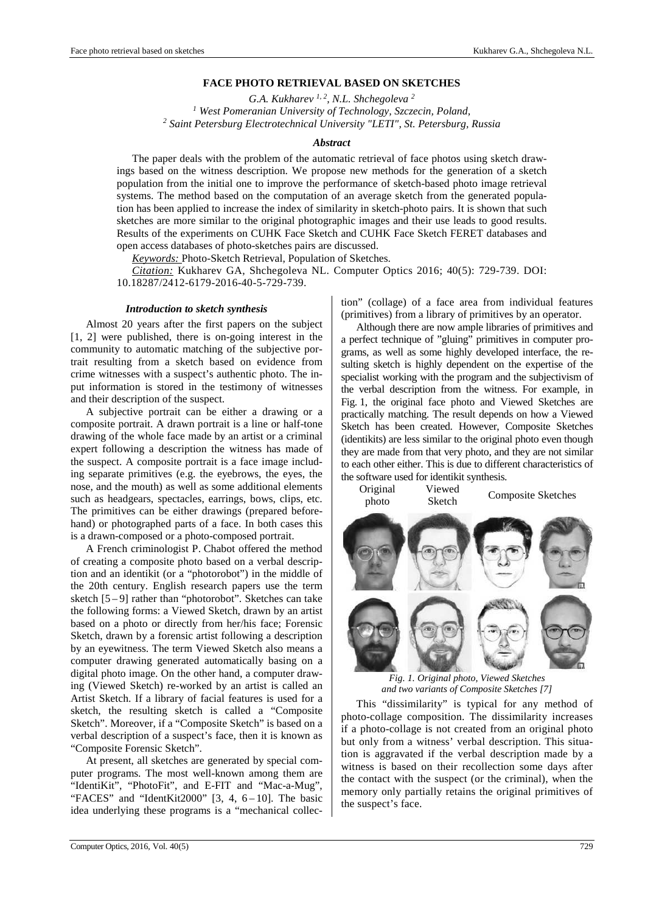# **FACE PHOTO RETRIEVAL BASED ON SKETCHES**

*G.A. Kukharev 1, 2, N.L. Shchegoleva <sup>2</sup> 1 West Pomeranian University of Technology, Szczecin, Poland, 2 Saint Petersburg Electrotechnical University "LETI", St. Petersburg, Russia* 

#### *Abstract*

The paper deals with the problem of the automatic retrieval of face photos using sketch drawings based on the witness description. We propose new methods for the generation of a sketch population from the initial one to improve the performance of sketch-based photo image retrieval systems. The method based on the computation of an average sketch from the generated population has been applied to increase the index of similarity in sketch-photo pairs. It is shown that such sketches are more similar to the original photographic images and their use leads to good results. Results of the experiments on CUHK Face Sketch and CUHK Face Sketch FERET databases and open access databases of photo-sketches pairs are discussed.

*Keywords:* Photo-Sketch Retrieval, Population of Sketches.

*Citation:* Kukharev GA, Shchegoleva NL. Computer Optics 2016; 40(5): 729-739. DOI: 10.18287/2412-6179-2016-40-5-729-739.

#### *Introduction to sketch synthesis*

Almost 20 years after the first papers on the subject [1, 2] were published, there is on-going interest in the community to automatic matching of the subjective portrait resulting from a sketch based on evidence from crime witnesses with a suspect's authentic photo. The input information is stored in the testimony of witnesses and their description of the suspect.

A subjective portrait can be either a drawing or a composite portrait. A drawn portrait is a line or half-tone drawing of the whole face made by an artist or a criminal expert following a description the witness has made of the suspect. A composite portrait is a face image including separate primitives (e.g. the eyebrows, the eyes, the nose, and the mouth) as well as some additional elements such as headgears, spectacles, earrings, bows, clips, etc. The primitives can be either drawings (prepared beforehand) or photographed parts of a face. In both cases this is a drawn-composed or a photo-composed portrait.

A French criminologist P. Chabot offered the method of creating a composite photo based on a verbal description and an identikit (or a "photorobot") in the middle of the 20th century. English research papers use the term sketch [5 – 9] rather than "photorobot". Sketches can take the following forms: a Viewed Sketch, drawn by an artist based on a photo or directly from her/his face; Forensic Sketch, drawn by a forensic artist following a description by an eyewitness. The term Viewed Sketch also means a computer drawing generated automatically basing on a digital photo image. On the other hand, a computer drawing (Viewed Sketch) re-worked by an artist is called an Artist Sketch. If a library of facial features is used for a sketch, the resulting sketch is called a "Composite Sketch". Moreover, if a "Composite Sketch" is based on a verbal description of a suspect's face, then it is known as "Composite Forensic Sketch".

At present, all sketches are generated by special computer programs. The most well-known among them are "IdentiKit", "PhotoFit", and E-FIT and "Mac-a-Mug", "FACES" and "IdentKit2000"  $[3, 4, 6-10]$ . The basic idea underlying these programs is a "mechanical collection" (collage) of a face area from individual features (primitives) from a library of primitives by an operator.

Although there are now ample libraries of primitives and a perfect technique of "gluing" primitives in computer programs, as well as some highly developed interface, the resulting sketch is highly dependent on the expertise of the specialist working with the program and the subjectivism of the verbal description from the witness. For example, in Fig. 1, the original face photo and Viewed Sketches are practically matching. The result depends on how a Viewed Sketch has been created. However, Composite Sketches (identikits) are less similar to the original photo even though they are made from that very photo, and they are not similar to each other either. This is due to different characteristics of the software used for identikit synthesis.

Original photo Viewed Sketch Composite Sketches



*Fig. 1. Original photo, Viewed Sketches and two variants of Composite Sketches [7]* 

This "dissimilarity" is typical for any method of photo-collage composition. The dissimilarity increases if a photo-collage is not created from an original photo but only from a witness' verbal description. This situation is aggravated if the verbal description made by a witness is based on their recollection some days after the contact with the suspect (or the criminal), when the memory only partially retains the original primitives of the suspect's face.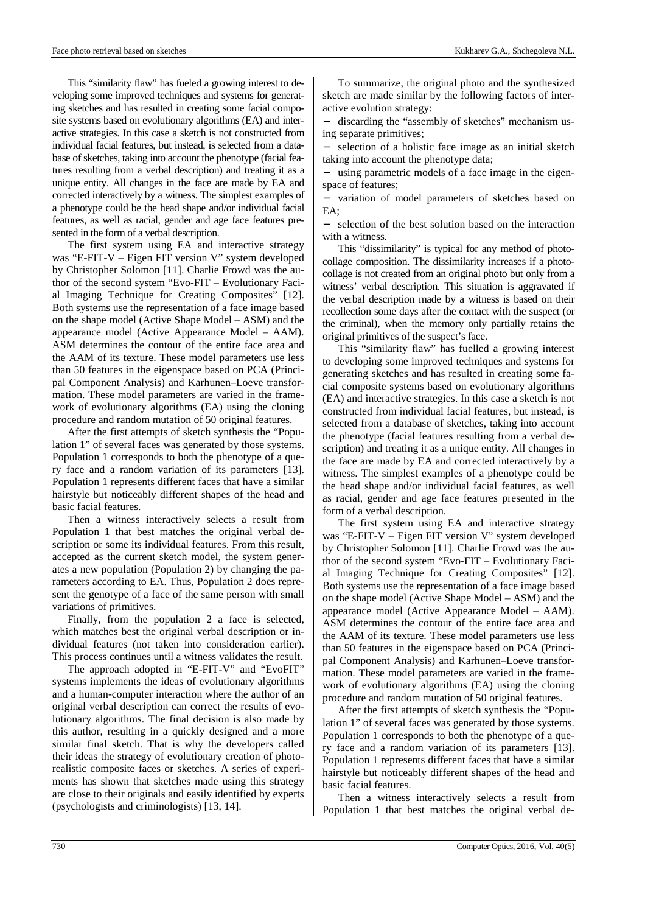This "similarity flaw" has fueled a growing interest to developing some improved techniques and systems for generating sketches and has resulted in creating some facial composite systems based on evolutionary algorithms (EA) and interactive strategies. In this case a sketch is not constructed from individual facial features, but instead, is selected from a database of sketches, taking into account the phenotype (facial features resulting from a verbal description) and treating it as a unique entity. All changes in the face are made by EA and corrected interactively by a witness. The simplest examples of a phenotype could be the head shape and/or individual facial features, as well as racial, gender and age face features presented in the form of a verbal description.

The first system using EA and interactive strategy was "E-FIT-V – Eigen FIT version V" system developed by Christopher Solomon [11]. Charlie Frowd was the author of the second system "Evo-FIT – Evolutionary Facial Imaging Technique for Creating Composites" [12]. Both systems use the representation of a face image based on the shape model (Active Shape Model – ASM) and the appearance model (Active Appearance Model – AAM). ASM determines the contour of the entire face area and the AAM of its texture. These model parameters use less than 50 features in the eigenspace based on PCA (Principal Component Analysis) and Karhunen–Loeve transformation. These model parameters are varied in the framework of evolutionary algorithms (EA) using the cloning procedure and random mutation of 50 original features.

After the first attempts of sketch synthesis the "Population 1" of several faces was generated by those systems. Population 1 corresponds to both the phenotype of a query face and a random variation of its parameters [13]. Population 1 represents different faces that have a similar hairstyle but noticeably different shapes of the head and basic facial features.

Then a witness interactively selects a result from Population 1 that best matches the original verbal description or some its individual features. From this result, accepted as the current sketch model, the system generates a new population (Population 2) by changing the parameters according to EA. Thus, Population 2 does represent the genotype of a face of the same person with small variations of primitives.

Finally, from the population 2 a face is selected, which matches best the original verbal description or individual features (not taken into consideration earlier). This process continues until a witness validates the result.

The approach adopted in "E-FIT-V" and "EvoFIT" systems implements the ideas of evolutionary algorithms and a human-computer interaction where the author of an original verbal description can correct the results of evolutionary algorithms. The final decision is also made by this author, resulting in a quickly designed and a more similar final sketch. That is why the developers called their ideas the strategy of evolutionary creation of photorealistic composite faces or sketches. A series of experiments has shown that sketches made using this strategy are close to their originals and easily identified by experts (psychologists and criminologists) [13, 14].

To summarize, the original photo and the synthesized sketch are made similar by the following factors of interactive evolution strategy:

− discarding the "assembly of sketches" mechanism using separate primitives;

selection of a holistic face image as an initial sketch taking into account the phenotype data;

using parametric models of a face image in the eigenspace of features;

variation of model parameters of sketches based on EA;

selection of the best solution based on the interaction with a witness.

This "dissimilarity" is typical for any method of photocollage composition. The dissimilarity increases if a photocollage is not created from an original photo but only from a witness' verbal description. This situation is aggravated if the verbal description made by a witness is based on their recollection some days after the contact with the suspect (or the criminal), when the memory only partially retains the original primitives of the suspect's face.

This "similarity flaw" has fuelled a growing interest to developing some improved techniques and systems for generating sketches and has resulted in creating some facial composite systems based on evolutionary algorithms (EA) and interactive strategies. In this case a sketch is not constructed from individual facial features, but instead, is selected from a database of sketches, taking into account the phenotype (facial features resulting from a verbal description) and treating it as a unique entity. All changes in the face are made by EA and corrected interactively by a witness. The simplest examples of a phenotype could be the head shape and/or individual facial features, as well as racial, gender and age face features presented in the form of a verbal description.

The first system using EA and interactive strategy was "E-FIT-V – Eigen FIT version V" system developed by Christopher Solomon [11]. Charlie Frowd was the author of the second system "Evo-FIT – Evolutionary Facial Imaging Technique for Creating Composites" [12]. Both systems use the representation of a face image based on the shape model (Active Shape Model – ASM) and the appearance model (Active Appearance Model – AAM). ASM determines the contour of the entire face area and the AAM of its texture. These model parameters use less than 50 features in the eigenspace based on PCA (Principal Component Analysis) and Karhunen–Loeve transformation. These model parameters are varied in the framework of evolutionary algorithms (EA) using the cloning procedure and random mutation of 50 original features.

After the first attempts of sketch synthesis the "Population 1" of several faces was generated by those systems. Population 1 corresponds to both the phenotype of a query face and a random variation of its parameters [13]. Population 1 represents different faces that have a similar hairstyle but noticeably different shapes of the head and basic facial features.

Then a witness interactively selects a result from Population 1 that best matches the original verbal de-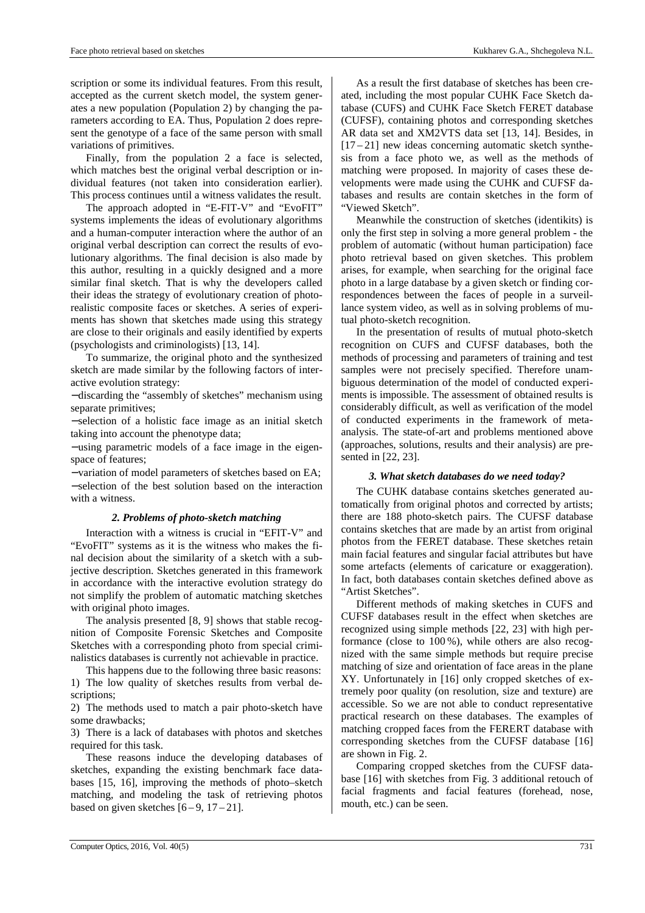scription or some its individual features. From this result, accepted as the current sketch model, the system generates a new population (Population 2) by changing the parameters according to EA. Thus, Population 2 does represent the genotype of a face of the same person with small variations of primitives.

Finally, from the population 2 a face is selected, which matches best the original verbal description or individual features (not taken into consideration earlier). This process continues until a witness validates the result.

The approach adopted in "E-FIT-V" and "EvoFIT" systems implements the ideas of evolutionary algorithms and a human-computer interaction where the author of an original verbal description can correct the results of evolutionary algorithms. The final decision is also made by this author, resulting in a quickly designed and a more similar final sketch. That is why the developers called their ideas the strategy of evolutionary creation of photorealistic composite faces or sketches. A series of experiments has shown that sketches made using this strategy are close to their originals and easily identified by experts (psychologists and criminologists) [13, 14].

To summarize, the original photo and the synthesized sketch are made similar by the following factors of interactive evolution strategy:

− discarding the "assembly of sketches" mechanism using separate primitives;

− selection of a holistic face image as an initial sketch taking into account the phenotype data;

− using parametric models of a face image in the eigenspace of features;

− variation of model parameters of sketches based on EA; − selection of the best solution based on the interaction with a witness.

## *2. Problems of photo-sketch matching*

Interaction with a witness is crucial in "EFIT-V" and "EvoFIT" systems as it is the witness who makes the final decision about the similarity of a sketch with a subjective description. Sketches generated in this framework in accordance with the interactive evolution strategy do not simplify the problem of automatic matching sketches with original photo images.

The analysis presented [8, 9] shows that stable recognition of Composite Forensic Sketches and Composite Sketches with a corresponding photo from special criminalistics databases is currently not achievable in practice.

This happens due to the following three basic reasons: 1) The low quality of sketches results from verbal descriptions;

2) The methods used to match a pair photo-sketch have some drawbacks;

3) There is a lack of databases with photos and sketches required for this task.

These reasons induce the developing databases of sketches, expanding the existing benchmark face databases [15, 16], improving the methods of photo–sketch matching, and modeling the task of retrieving photos based on given sketches  $[6-9, 17-21]$ .

As a result the first database of sketches has been created, including the most popular CUHK Face Sketch database (CUFS) and CUHK Face Sketch FERET database (CUFSF), containing photos and corresponding sketches AR data set and XM2VTS data set [13, 14]. Besides, in  $[17-21]$  new ideas concerning automatic sketch synthesis from a face photo we, as well as the methods of matching were proposed. In majority of cases these developments were made using the CUHK and CUFSF databases and results are contain sketches in the form of "Viewed Sketch".

Meanwhile the construction of sketches (identikits) is only the first step in solving a more general problem - the problem of automatic (without human participation) face photo retrieval based on given sketches. This problem arises, for example, when searching for the original face photo in a large database by a given sketch or finding correspondences between the faces of people in a surveillance system video, as well as in solving problems of mutual photo-sketch recognition.

In the presentation of results of mutual photo-sketch recognition on CUFS and CUFSF databases, both the methods of processing and parameters of training and test samples were not precisely specified. Therefore unambiguous determination of the model of conducted experiments is impossible. The assessment of obtained results is considerably difficult, as well as verification of the model of conducted experiments in the framework of metaanalysis. The state-of-art and problems mentioned above (approaches, solutions, results and their analysis) are presented in [22, 23].

## *3. What sketch databases do we need today?*

The CUHK database contains sketches generated automatically from original photos and corrected by artists; there are 188 photo-sketch pairs. The CUFSF database contains sketches that are made by an artist from original photos from the FERET database. These sketches retain main facial features and singular facial attributes but have some artefacts (elements of caricature or exaggeration). In fact, both databases contain sketches defined above as "Artist Sketches".

Different methods of making sketches in CUFS and CUFSF databases result in the effect when sketches are recognized using simple methods [22, 23] with high performance (close to 100 %), while others are also recognized with the same simple methods but require precise matching of size and orientation of face areas in the plane XY. Unfortunately in [16] only cropped sketches of extremely poor quality (on resolution, size and texture) are accessible. So we are not able to conduct representative practical research on these databases. The examples of matching cropped faces from the FERERT database with corresponding sketches from the CUFSF database [16] are shown in Fig. 2.

Comparing cropped sketches from the CUFSF database [16] with sketches from Fig. 3 additional retouch of facial fragments and facial features (forehead, nose, mouth, etc.) can be seen.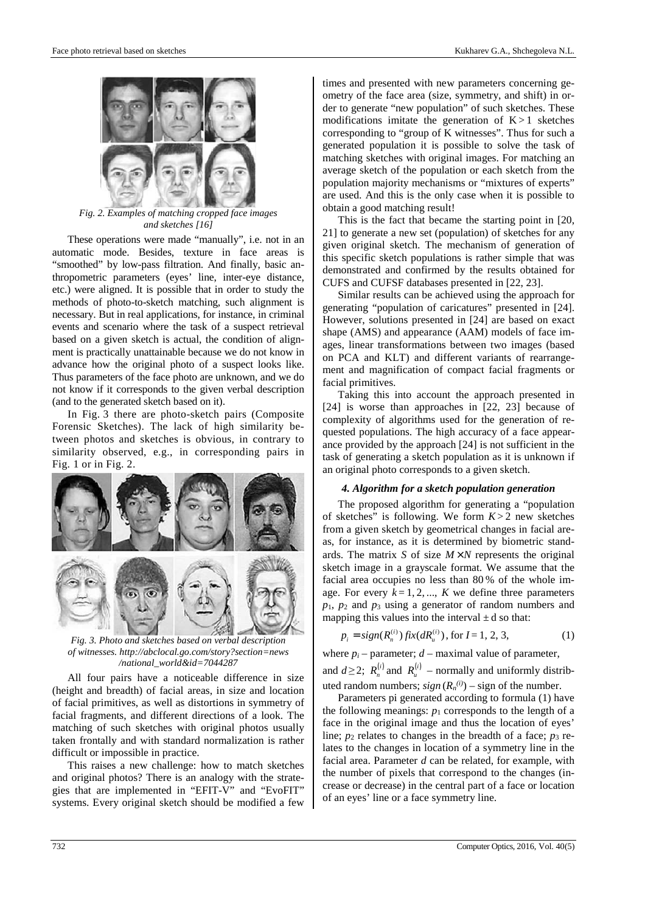

*Fig. 2. Examples of matching cropped face images and sketches [16]* 

These operations were made "manually", i.e. not in an automatic mode. Besides, texture in face areas is "smoothed" by low-pass filtration. And finally, basic anthropometric parameters (eyes' line, inter-eye distance, etc.) were aligned. It is possible that in order to study the methods of photo-to-sketch matching, such alignment is necessary. But in real applications, for instance, in criminal events and scenario where the task of a suspect retrieval based on a given sketch is actual, the condition of alignment is practically unattainable because we do not know in advance how the original photo of a suspect looks like. Thus parameters of the face photo are unknown, and we do not know if it corresponds to the given verbal description (and to the generated sketch based on it).

In Fig. 3 there are photo-sketch pairs (Composite Forensic Sketches). The lack of high similarity between photos and sketches is obvious, in contrary to similarity observed, e.g., in corresponding pairs in Fig. 1 or in Fig. 2.



*Fig. 3. Photo and sketches based on verbal description of witnesses. http://abclocal.go.com/story?section=news /national\_world&id=7044287* 

All four pairs have a noticeable difference in size (height and breadth) of facial areas, in size and location of facial primitives, as well as distortions in symmetry of facial fragments, and different directions of a look. The matching of such sketches with original photos usually taken frontally and with standard normalization is rather difficult or impossible in practice.

This raises a new challenge: how to match sketches and original photos? There is an analogy with the strategies that are implemented in "EFIT-V" and "EvoFIT" systems. Every original sketch should be modified a few times and presented with new parameters concerning geometry of the face area (size, symmetry, and shift) in order to generate "new population" of such sketches. These modifications imitate the generation of  $K > 1$  sketches corresponding to "group of K witnesses". Thus for such a generated population it is possible to solve the task of matching sketches with original images. For matching an average sketch of the population or each sketch from the population majority mechanisms or "mixtures of experts" are used. And this is the only case when it is possible to obtain a good matching result!

This is the fact that became the starting point in [20, 21] to generate a new set (population) of sketches for any given original sketch. The mechanism of generation of this specific sketch populations is rather simple that was demonstrated and confirmed by the results obtained for CUFS and CUFSF databases presented in [22, 23].

Similar results can be achieved using the approach for generating "population of caricatures" presented in [24]. However, solutions presented in [24] are based on exact shape (AMS) and appearance (AAM) models of face images, linear transformations between two images (based on PCA and KLT) and different variants of rearrangement and magnification of compact facial fragments or facial primitives.

Taking this into account the approach presented in [24] is worse than approaches in [22, 23] because of complexity of algorithms used for the generation of requested populations. The high accuracy of a face appearance provided by the approach [24] is not sufficient in the task of generating a sketch population as it is unknown if an original photo corresponds to a given sketch.

## *4. Algorithm for a sketch population generation*

The proposed algorithm for generating a "population of sketches" is following. We form  $K > 2$  new sketches from a given sketch by geometrical changes in facial areas, for instance, as it is determined by biometric standards. The matrix *S* of size  $M \times N$  represents the original sketch image in a grayscale format. We assume that the facial area occupies no less than 80 % of the whole image. For every  $k = 1, 2, ..., K$  we define three parameters *p*1, *p*2 and *p*3 using a generator of random numbers and mapping this values into the interval  $\pm d$  so that:

$$
p_i = sign(R_n^{(i)}) fix(dR_u^{(i)}), \text{ for } I = 1, 2, 3,
$$
 (1)

where  $p_i$  – parameter;  $d$  – maximal value of parameter, and  $d \ge 2$ ;  $R_n^{(i)}$  and  $R_n^{(i)}$  – normally and uniformly distributed random numbers;  $sign(R_n^{(i)})$  – sign of the number.

Parameters pi generated according to formula (1) have the following meanings:  $p_1$  corresponds to the length of a face in the original image and thus the location of eyes' line;  $p_2$  relates to changes in the breadth of a face;  $p_3$  relates to the changes in location of a symmetry line in the facial area. Parameter *d* can be related, for example, with the number of pixels that correspond to the changes (increase or decrease) in the central part of a face or location of an eyes' line or a face symmetry line.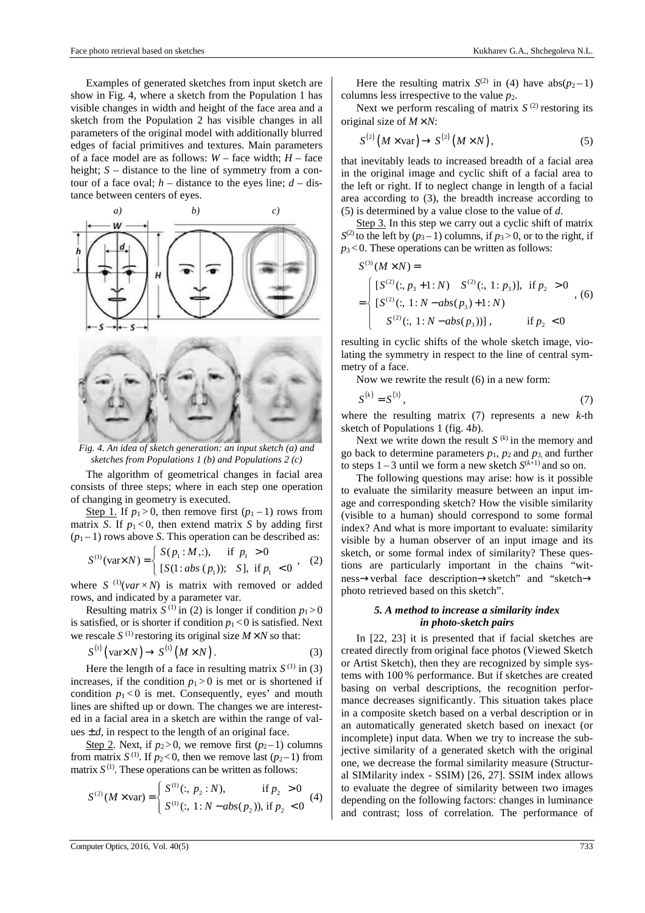columns less irrespective to the value *p*2. Next we perform rescaling of matrix  $S^{(2)}$  restoring its original size of  $M \times N$ :

$$
S^{(2)}\left(M \times \text{var}\right) \to S^{(2)}\left(M \times N\right),\tag{5}
$$

that inevitably leads to increased breadth of a facial area in the original image and cyclic shift of a facial area to the left or right. If to neglect change in length of a facial area according to (3), the breadth increase according to (5) is determined by a value close to the value of *d*.

Step 3. In this step we carry out a cyclic shift of matrix  $S^{(2)}$  to the left by  $(p_3-1)$  columns, if  $p_3 > 0$ , or to the right, if  $p_3$ <0. These operations can be written as follows:

$$
S^{(3)}(M \times N) =
$$
\n
$$
= \begin{cases}\n[S^{(2)}(:, p_3 + 1:N) & S^{(2)}(:, 1:p_3)], \text{ if } p_2 > 0 \\
[S^{(2)}(:, 1:N - abs(p_3) + 1:N) & S^{(2)}(:, 1:N - abs(p_3))], \text{ if } p_2 < 0\n\end{cases}
$$
\n(6)

resulting in cyclic shifts of the whole sketch image, violating the symmetry in respect to the line of central symmetry of a face.

Now we rewrite the result (6) in a new form:

( ) ( ) *k* 3

$$
S^{(k)} = S^{(3)},\tag{7}
$$

where the resulting matrix (7) represents a new *k*-th sketch of Populations 1 (fig. 4*b*).

Next we write down the result  $S^{(k)}$  in the memory and go back to determine parameters  $p_1$ ,  $p_2$  and  $p_3$  and further to steps  $1-3$  until we form a new sketch  $S^{(k+1)}$  and so on.

The following questions may arise: how is it possible to evaluate the similarity measure between an input image and corresponding sketch? How the visible similarity (visible to a human) should correspond to some formal index? And what is more important to evaluate: similarity visible by a human observer of an input image and its sketch, or some formal index of similarity? These questions are particularly important in the chains "witness→verbal face description→sketch" and "sketch→ photo retrieved based on this sketch".

#### *5. A method to increase a similarity index in photo-sketch pairs*

In [22, 23] it is presented that if facial sketches are created directly from original face photos (Viewed Sketch or Artist Sketch), then they are recognized by simple systems with 100 % performance. But if sketches are created basing on verbal descriptions, the recognition performance decreases significantly. This situation takes place in a composite sketch based on a verbal description or in an automatically generated sketch based on inexact (or incomplete) input data. When we try to increase the subjective similarity of a generated sketch with the original one, we decrease the formal similarity measure (Structural SIMilarity index - SSIM) [26, 27]. SSIM index allows to evaluate the degree of similarity between two images depending on the following factors: changes in luminance and contrast; loss of correlation. The performance of





*Fig. 4. An idea of sketch generation: an input sketch (a) and sketches from Populations 1 (b) and Populations 2 (c)* 

The algorithm of geometrical changes in facial area consists of three steps; where in each step one operation of changing in geometry is executed.

Step 1. If  $p_1 > 0$ , then remove first  $(p_1 - 1)$  rows from matrix *S*. If  $p_1 < 0$ , then extend matrix *S* by adding first  $(p_1 - 1)$  rows above *S*. This operation can be described as:

$$
S^{(1)}(\text{var} \times N) = \begin{cases} S(p_1 : M, :), & \text{if } p_1 > 0 \\ [S(1:abs (p_1)); S], & \text{if } p_1 < 0 \end{cases}, (2)
$$

where  $S^{(1)}(var \times N)$  is matrix with removed or added rows, and indicated by a parameter var.

Resulting matrix  $S^{(1)}$  in (2) is longer if condition  $p_1 > 0$ is satisfied, or is shorter if condition  $p_1 < 0$  is satisfied. Next we rescale  $S^{(1)}$  restoring its original size  $M \times N$  so that:

$$
S^{(1)}\left(\text{var} \times N\right) \to S^{(1)}\left(M \times N\right). \tag{3}
$$

Here the length of a face in resulting matrix  $S^{(1)}$  in (3) increases, if the condition  $p_1 > 0$  is met or is shortened if condition  $p_1 < 0$  is met. Consequently, eyes' and mouth lines are shifted up or down. The changes we are interested in a facial area in a sketch are within the range of values  $\pm d$ , in respect to the length of an original face.

Step 2. Next, if  $p_2 > 0$ , we remove first  $(p_2 - 1)$  columns from matrix  $S^{(1)}$ . If  $p_2 < 0$ , then we remove last  $(p_2 - 1)$  from matrix  $S^{(1)}$ . These operations can be written as follows:

$$
S^{(2)}(M \times \text{var}) = \begin{cases} S^{(1)}(:, p_2 : N), & \text{if } p_2 > 0 \\ S^{(1)}(:, 1 : N - abs(p_2)), \text{if } p_2 < 0 \end{cases}
$$
(4)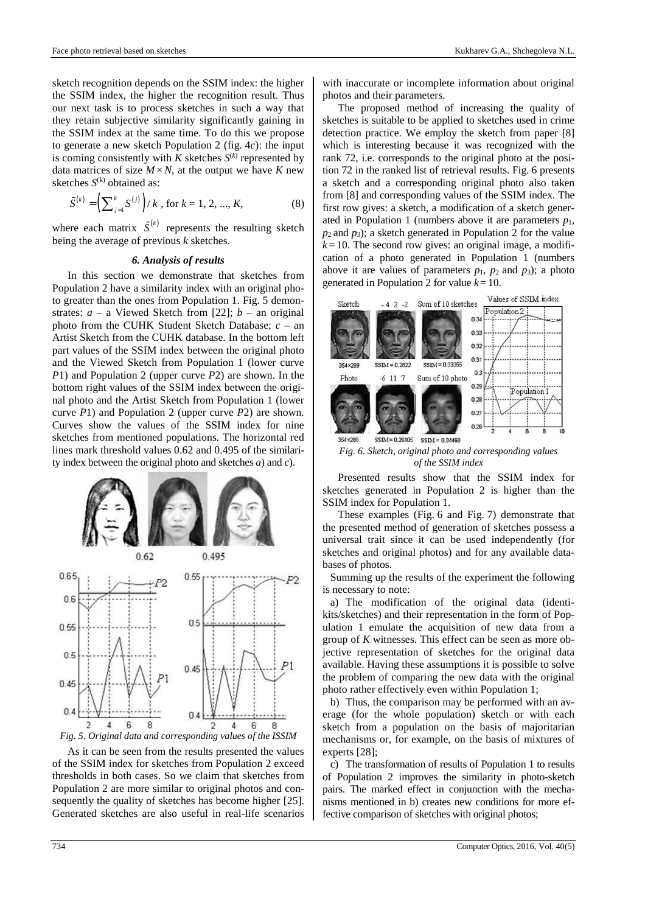sketch recognition depends on the SSIM index: the higher the SSIM index, the higher the recognition result. Thus our next task is to process sketches in such a way that they retain subjective similarity significantly gaining in the SSIM index at the same time. To do this we propose to generate a new sketch Population 2 (fig. 4*c*): the input is coming consistently with  $K$  sketches  $S^{(k)}$  represented by data matrices of size  $M \times N$ , at the output we have *K* new sketches  $S^{(k)}$  obtained as:

$$
\tilde{S}^{(k)} = \left(\sum_{j=1}^{k} S^{(j)}\right) / k \text{, for } k = 1, 2, ..., K,
$$
 (8)

where each matrix  $\tilde{S}^{(k)}$  represents the resulting sketch being the average of previous *k* sketches.

#### *6. Analysis of results*

In this section we demonstrate that sketches from Population 2 have a similarity index with an original photo greater than the ones from Population 1. Fig. 5 demonstrates:  $a - a$  Viewed Sketch from [22];  $b - an$  original photo from the CUHK Student Sketch Database; *c* – an Artist Sketch from the CUHK database. In the bottom left part values of the SSIM index between the original photo and the Viewed Sketch from Population 1 (lower curve *P*1) and Population 2 (upper curve *P*2) are shown. In the bottom right values of the SSIM index between the original photo and the Artist Sketch from Population 1 (lower curve *P*1) and Population 2 (upper curve *P*2) are shown. Curves show the values of the SSIM index for nine sketches from mentioned populations. The horizontal red lines mark threshold values 0.62 and 0.495 of the similarity index between the original photo and sketches *a*) and *c*).





As it can be seen from the results presented the values of the SSIM index for sketches from Population 2 exceed thresholds in both cases. So we claim that sketches from Population 2 are more similar to original photos and consequently the quality of sketches has become higher [25]. Generated sketches are also useful in real-life scenarios with inaccurate or incomplete information about original photos and their parameters.

The proposed method of increasing the quality of sketches is suitable to be applied to sketches used in crime detection practice. We employ the sketch from paper [8] which is interesting because it was recognized with the rank 72, i.e. corresponds to the original photo at the position 72 in the ranked list of retrieval results. Fig. 6 presents a sketch and a corresponding original photo also taken from [8] and corresponding values of the SSIM index. The first row gives: a sketch, a modification of a sketch generated in Population 1 (numbers above it are parameters  $p_1$ ,  $p_2$  and  $p_3$ ); a sketch generated in Population 2 for the value  $k = 10$ . The second row gives: an original image, a modification of a photo generated in Population 1 (numbers above it are values of parameters  $p_1$ ,  $p_2$  and  $p_3$ ); a photo generated in Population 2 for value  $k = 10$ .



*Fig. 6. Sketch, original photo and corresponding values of the SSIM index* 

Presented results show that the SSIM index for sketches generated in Population 2 is higher than the SSIM index for Population 1.

These examples (Fig. 6 and Fig. 7) demonstrate that the presented method of generation of sketches possess a universal trait since it can be used independently (for sketches and original photos) and for any available databases of photos.

Summing up the results of the experiment the following is necessary to note:

a) The modification of the original data (identikits/sketches) and their representation in the form of Population 1 emulate the acquisition of new data from a group of *K* witnesses. This effect can be seen as more objective representation of sketches for the original data available. Having these assumptions it is possible to solve the problem of comparing the new data with the original photo rather effectively even within Population 1;

b) Thus, the comparison may be performed with an average (for the whole population) sketch or with each sketch from a population on the basis of majoritarian mechanisms or, for example, on the basis of mixtures of experts [28];

c) The transformation of results of Population 1 to results of Population 2 improves the similarity in photo-sketch pairs. The marked effect in conjunction with the mechanisms mentioned in b) creates new conditions for more effective comparison of sketches with original photos;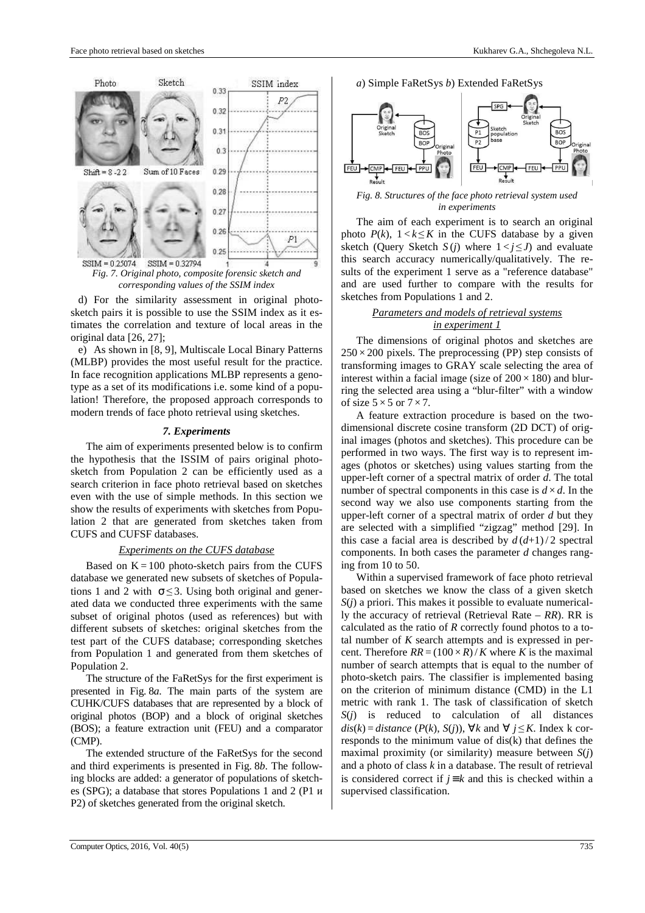

*Fig. 7. Original photo, composite forensic sketch and corresponding values of the SSIM index* 

d) For the similarity assessment in original photosketch pairs it is possible to use the SSIM index as it estimates the correlation and texture of local areas in the original data [26, 27];

e) As shown in [8, 9], Multiscale Local Binary Patterns (MLBP) provides the most useful result for the practice. In face recognition applications MLBP represents a genotype as a set of its modifications i.e. some kind of a population! Therefore, the proposed approach corresponds to modern trends of face photo retrieval using sketches.

#### *7. Experiments*

The aim of experiments presented below is to confirm the hypothesis that the ISSIM of pairs original photosketch from Population 2 can be efficiently used as a search criterion in face photo retrieval based on sketches even with the use of simple methods. In this section we show the results of experiments with sketches from Population 2 that are generated from sketches taken from CUFS and CUFSF databases.

# *Experiments on the CUFS database*

Based on  $K = 100$  photo-sketch pairs from the CUFS database we generated new subsets of sketches of Populations 1 and 2 with  $\sigma \leq 3$ . Using both original and generated data we conducted three experiments with the same subset of original photos (used as references) but with different subsets of sketches: original sketches from the test part of the CUFS database; corresponding sketches from Population 1 and generated from them sketches of Population 2.

The structure of the FaRetSys for the first experiment is presented in Fig. 8*a*. The main parts of the system are CUHK/CUFS databases that are represented by a block of original photos (BOP) and a block of original sketches (BOS); a feature extraction unit (FEU) and a comparator (CMP).

The extended structure of the FaRetSys for the second and third experiments is presented in Fig. 8*b*. The following blocks are added: a generator of populations of sketches (SPG); a database that stores Populations 1 and 2 (P1 и P2) of sketches generated from the original sketch.





*Fig. 8. Structures of the face photo retrieval system used in experiments* 

The aim of each experiment is to search an original photo  $P(k)$ ,  $1 < k \leq K$  in the CUFS database by a given sketch (Query Sketch  $S(j)$  where  $1 < j \le J$ ) and evaluate this search accuracy numerically/qualitatively. The results of the experiment 1 serve as a "reference database" and are used further to compare with the results for sketches from Populations 1 and 2.

# *Parameters and models of retrieval systems in experiment 1*

The dimensions of original photos and sketches are  $250 \times 200$  pixels. The preprocessing (PP) step consists of transforming images to GRAY scale selecting the area of interest within a facial image (size of  $200 \times 180$ ) and blurring the selected area using a "blur-filter" with a window of size  $5 \times 5$  or  $7 \times 7$ .

A feature extraction procedure is based on the twodimensional discrete cosine transform (2D DCT) of original images (photos and sketches). This procedure can be performed in two ways. The first way is to represent images (photos or sketches) using values starting from the upper-left corner of a spectral matrix of order *d*. The total number of spectral components in this case is  $d \times d$ . In the second way we also use components starting from the upper-left corner of a spectral matrix of order *d* but they are selected with a simplified "zigzag" method [29]. In this case a facial area is described by  $d(d+1)/2$  spectral components. In both cases the parameter *d* changes ranging from 10 to 50.

Within a supervised framework of face photo retrieval based on sketches we know the class of a given sketch *S*(*j*) a priori. This makes it possible to evaluate numerically the accuracy of retrieval (Retrieval Rate – *RR*). RR is calculated as the ratio of *R* correctly found photos to a total number of *K* search attempts and is expressed in percent. Therefore  $RR = (100 \times R) / K$  where *K* is the maximal number of search attempts that is equal to the number of photo-sketch pairs. The classifier is implemented basing on the criterion of minimum distance (CMD) in the L1 metric with rank 1. The task of classification of sketch *S*(*j*) is reduced to calculation of all distances *dis*(*k*) = *distance* (*P*(*k*), *S*(*j*)), ∀*k* and ∀ *j* ≤ *K*. Index k corresponds to the minimum value of dis(k) that defines the maximal proximity (or similarity) measure between *S*(*j*) and a photo of class *k* in a database. The result of retrieval is considered correct if  $j \equiv k$  and this is checked within a supervised classification.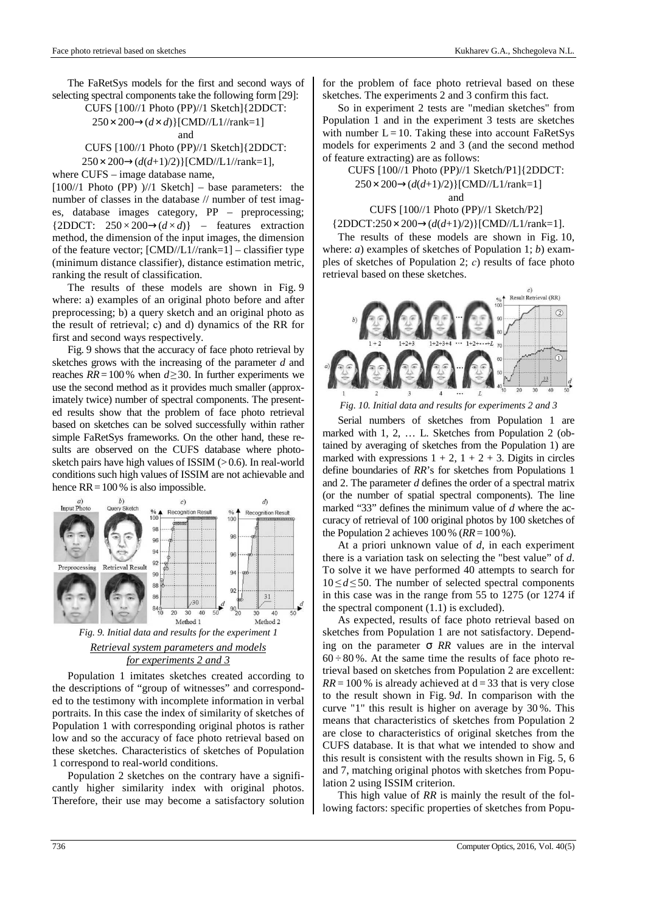The FaRetSys models for the first and second ways of selecting spectral components take the following form [29]:

CUFS [100//1 Photo (PP)//1 Sketch]{2DDCT:

$$
250 \times 200 \rightarrow (d \times d) \, [CMD/L1//rank=1]
$$

and

CUFS [100//1 Photo (PP)//1 Sketch]{2DDCT:

250 × 200→(*d*(*d*+1)/2)}[CMD//L1//rank=1],

where CUFS – image database name,

 $[100//1$  Photo (PP)  $)/(1$  Sketch $]$  – base parameters: the number of classes in the database // number of test images, database images category, PP – preprocessing; {2DDCT:  $250 \times 200 \rightarrow (d \times d)$ } – features extraction method, the dimension of the input images, the dimension of the feature vector; [CMD//L1//rank=1] – classifier type (minimum distance classifier), distance estimation metric, ranking the result of classification.

The results of these models are shown in Fig. 9 where: а) examples of an original photo before and after preprocessing; b) a query sketch and an original photo as the result of retrieval; с) and d) dynamics of the RR for first and second ways respectively.

Fig. 9 shows that the accuracy of face photo retrieval by sketches grows with the increasing of the parameter *d* and reaches *RR*=100% when *d*≥30. In further experiments we use the second method as it provides much smaller (approximately twice) number of spectral components. The presented results show that the problem of face photo retrieval based on sketches can be solved successfully within rather simple FaRetSys frameworks. On the other hand, these results are observed on the CUFS database where photosketch pairs have high values of ISSIM  $(>0.6)$ . In real-world conditions such high values of ISSIM are not achievable and hence  $RR = 100 %$  is also impossible.



# *Retrieval system parameters and models for experiments 2 and 3*

Population 1 imitates sketches created according to the descriptions of "group of witnesses" and corresponded to the testimony with incomplete information in verbal portraits. In this case the index of similarity of sketches of Population 1 with corresponding original photos is rather low and so the accuracy of face photo retrieval based on these sketches. Characteristics of sketches of Population 1 correspond to real-world conditions.

Population 2 sketches on the contrary have a significantly higher similarity index with original photos. Therefore, their use may become a satisfactory solution for the problem of face photo retrieval based on these sketches. The experiments 2 and 3 confirm this fact.

So in experiment 2 tests are "median sketches" from Population 1 and in the experiment 3 tests are sketches with number  $L = 10$ . Taking these into account FaRetSys models for experiments 2 and 3 (and the second method of feature extracting) are as follows:

CUFS [100//1 Photo (PP)//1 Sketch/P1]{2DDCT: 250 × 200→(*d*(*d*+1)/2)}[CMD//L1/rank=1] and

# CUFS [100//1 Photo (PP)//1 Sketch/P2]

# {2DDCT:250 × 200→(*d*(*d*+1)/2)}[CMD//L1/rank=1].

The results of these models are shown in Fig. 10, where: *a*) examples of sketches of Population 1; *b*) examples of sketches of Population 2; *с*) results of face photo retrieval based on these sketches.



*Fig. 10. Initial data and results for experiments 2 and 3* 

Serial numbers of sketches from Population 1 are marked with 1, 2, … L. Sketches from Population 2 (obtained by averaging of sketches from the Population 1) are marked with expressions  $1 + 2$ ,  $1 + 2 + 3$ . Digits in circles define boundaries of *RR*'s for sketches from Populations 1 and 2. The parameter *d* defines the order of a spectral matrix (or the number of spatial spectral components). The line marked "33" defines the minimum value of *d* where the accuracy of retrieval of 100 original photos by 100 sketches of the Population 2 achieves  $100\%$  ( $RR = 100\%$ ).

At a priori unknown value of *d*, in each experiment there is a variation task on selecting the "best value" of *d*. To solve it we have performed 40 attempts to search for  $10 \le d \le 50$ . The number of selected spectral components in this case was in the range from 55 to 1275 (or 1274 if the spectral component (1.1) is excluded).

As expected, results of face photo retrieval based on sketches from Population 1 are not satisfactory. Depending on the parameter σ *RR* values are in the interval  $60 \div 80$ %. At the same time the results of face photo retrieval based on sketches from Population 2 are excellent:  $RR = 100\%$  is already achieved at  $d = 33$  that is very close to the result shown in Fig. 9*d*. In comparison with the curve "1" this result is higher on average by 30 %. This means that characteristics of sketches from Population 2 are close to characteristics of original sketches from the CUFS database. It is that what we intended to show and this result is consistent with the results shown in Fig. 5, 6 and 7, matching original photos with sketches from Population 2 using ISSIM criterion.

This high value of *RR* is mainly the result of the following factors: specific properties of sketches from Popu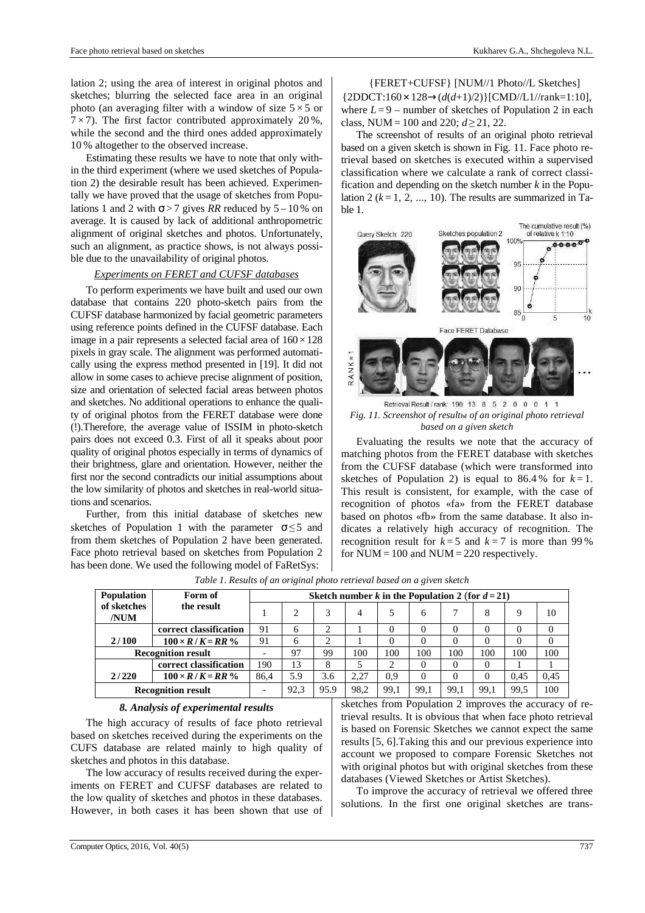lation 2; using the area of interest in original photos and sketches; blurring the selected face area in an original photo (an averaging filter with a window of size  $5 \times 5$  or  $7 \times 7$ ). The first factor contributed approximately 20%, while the second and the third ones added approximately 10 % altogether to the observed increase.

Estimating these results we have to note that only within the third experiment (where we used sketches of Population 2) the desirable result has been achieved. Experimentally we have proved that the usage of sketches from Populations 1 and 2 with  $\sigma$  > 7 gives *RR* reduced by 5 – 10 % on average. It is caused by lack of additional anthropometric alignment of original sketches and photos. Unfortunately, such an alignment, as practice shows, is not always possible due to the unavailability of original photos.

# *Experiments on FERET and CUFSF databases*

To perform experiments we have built and used our own database that contains 220 photo-sketch pairs from the CUFSF database harmonized by facial geometric parameters using reference points defined in the CUFSF database. Each image in a pair represents a selected facial area of  $160 \times 128$ pixels in gray scale. The alignment was performed automatically using the express method presented in [19]. It did not allow in some cases to achieve precise alignment of position, size and orientation of selected facial areas between photos and sketches. No additional operations to enhance the quality of original photos from the FERET database were done (!).Therefore, the average value of ISSIM in photo-sketch pairs does not exceed 0.3. First of all it speaks about poor quality of original photos especially in terms of dynamics of their brightness, glare and orientation. However, neither the first nor the second contradicts our initial assumptions about the low similarity of photos and sketches in real-world situations and scenarios.

Further, from this initial database of sketches new sketches of Population 1 with the parameter  $\sigma \leq 5$  and from them sketches of Population 2 have been generated. Face photo retrieval based on sketches from Population 2 has been done. We used the following model of FaRetSys:

{FERET+CUFSF} [NUM//1 Photo//L Sketches] {2DDCT:160 × 128→(*d*(*d*+1)/2)}[CMD//L1//rank=1:10], where  $L = 9$  – number of sketches of Population 2 in each class, NUM = 100 and 220;  $d \ge 21$ , 22.

The screenshot of results of an original photo retrieval based on a given sketch is shown in Fig. 11. Face photo retrieval based on sketches is executed within a supervised classification where we calculate a rank of correct classification and depending on the sketch number *k* in the Population 2 ( $k = 1, 2, ..., 10$ ). The results are summarized in Table 1.



Retrieval Result / rank: 190 13 8 5 2 0 0 0 1 1 *Fig. 11. Screenshot of resultы of an original photo retrieval based on a given sketch* 

Evaluating the results we note that the accuracy of matching photos from the FERET database with sketches from the CUFSF database (which were transformed into sketches of Population 2) is equal to  $86.4\%$  for  $k=1$ . This result is consistent, for example, with the case of recognition of photos «fa» from the FERET database based on photos «fb» from the same database. It also indicates a relatively high accuracy of recognition. The recognition result for  $k=5$  and  $k=7$  is more than 99% for  $NUM = 100$  and  $NUM = 220$  respectively.

| Population                | Form of                 | Sketch number k in the Population 2 (for $d = 21$ ) |      |      |      |          |          |      |      |      |      |
|---------------------------|-------------------------|-----------------------------------------------------|------|------|------|----------|----------|------|------|------|------|
| of sketches<br>/NUM       | the result              |                                                     |      | 3    | 4    |          | 6        |      | 8    | 9    | 10   |
|                           | correct classification  | 91                                                  | 6    | ◠    |      | $\theta$ | 0        | 0    |      |      | 0    |
| 2/100                     | $100 \times R/K = RR$ % | 91                                                  | 6    | ◠    |      | $\theta$ | 0        |      | 0    |      | 0    |
| <b>Recognition result</b> |                         |                                                     | 97   | 99   | 100  | 100      | 100      | 100  | 100  | 100  | 100  |
|                           | correct classification  | 190                                                 | 13   | 8    |      | ◠        | $\Omega$ |      | 0    |      |      |
| 2/220                     | $100 \times R/K = RR$ % | 86.4                                                | 5.9  | 3.6  | 2.27 | 0.9      | $\theta$ |      | 0    | 0.45 | 0.45 |
| <b>Recognition result</b> |                         | ۰                                                   | 92.3 | 95.9 | 98.2 | 99.1     | 99.1     | 99,1 | 99.1 | 99.5 | 100  |

*Table 1. Results of an original photo retrieval based on a given sketch*

## *8. Analysis of experimental results*

The high accuracy of results of face photo retrieval based on sketches received during the experiments on the CUFS database are related mainly to high quality of sketches and photos in this database.

The low accuracy of results received during the experiments on FERET and CUFSF databases are related to the low quality of sketches and photos in these databases. However, in both cases it has been shown that use of sketches from Population 2 improves the accuracy of retrieval results. It is obvious that when face photo retrieval is based on Forensic Sketches we cannot expect the same results [5, 6].Taking this and our previous experience into account we proposed to compare Forensic Sketches not with original photos but with original sketches from these databases (Viewed Sketches or Artist Sketches).

To improve the accuracy of retrieval we offered three solutions. In the first one original sketches are trans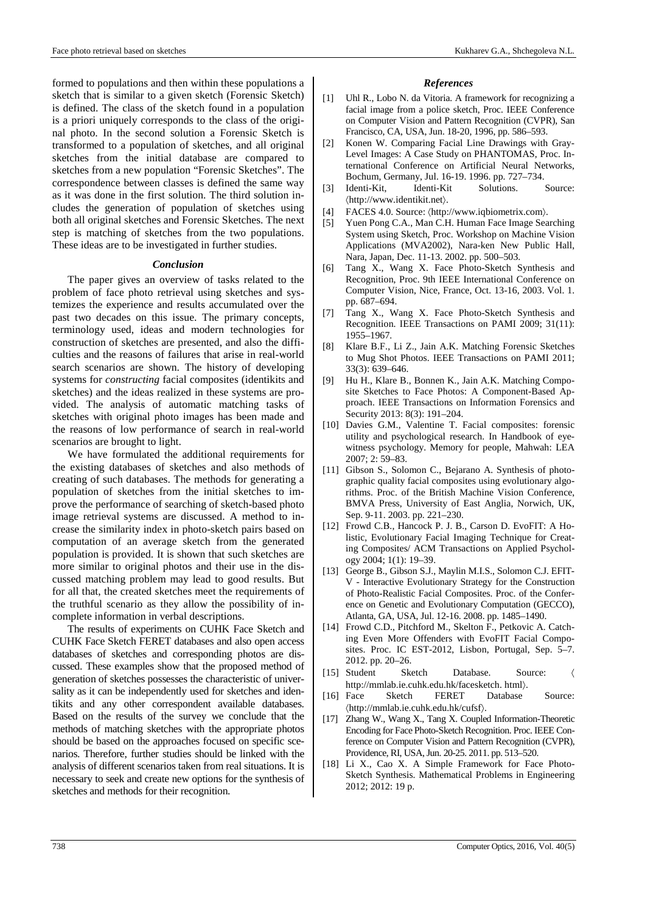formed to populations and then within these populations a sketch that is similar to a given sketch (Forensic Sketch) is defined. The class of the sketch found in a population is a priori uniquely corresponds to the class of the original photo. In the second solution a Forensic Sketch is transformed to a population of sketches, and all original sketches from the initial database are compared to sketches from a new population "Forensic Sketches". The correspondence between classes is defined the same way as it was done in the first solution. The third solution includes the generation of population of sketches using both all original sketches and Forensic Sketches. The next step is matching of sketches from the two populations. These ideas are to be investigated in further studies.

#### *Conclusion*

The paper gives an overview of tasks related to the problem of face photo retrieval using sketches and systemizes the experience and results accumulated over the past two decades on this issue. The primary concepts, terminology used, ideas and modern technologies for construction of sketches are presented, and also the difficulties and the reasons of failures that arise in real-world search scenarios are shown. The history of developing systems for *constructing* facial composites (identikits and sketches) and the ideas realized in these systems are provided. The analysis of automatic matching tasks of sketches with original photo images has been made and the reasons of low performance of search in real-world scenarios are brought to light.

We have formulated the additional requirements for the existing databases of sketches and also methods of creating of such databases. The methods for generating a population of sketches from the initial sketches to improve the performance of searching of sketch-based photo image retrieval systems are discussed. A method to increase the similarity index in photo-sketch pairs based on computation of an average sketch from the generated population is provided. It is shown that such sketches are more similar to original photos and their use in the discussed matching problem may lead to good results. But for all that, the created sketches meet the requirements of the truthful scenario as they allow the possibility of incomplete information in verbal descriptions.

The results of experiments on CUHK Face Sketch and CUHK Face Sketch FERET databases and also open access databases of sketches and corresponding photos are discussed. These examples show that the proposed method of generation of sketches possesses the characteristic of universality as it can be independently used for sketches and identikits and any other correspondent available databases. Based on the results of the survey we conclude that the methods of matching sketches with the appropriate photos should be based on the approaches focused on specific scenarios. Therefore, further studies should be linked with the analysis of different scenarios taken from real situations. It is necessary to seek and create new options for the synthesis of sketches and methods for their recognition.

#### *References*

- [1] Uhl R., Lobo N. da Vitoria. A framework for recognizing a facial image from a police sketch, Proc. IEEE Conference on Computer Vision and Pattern Recognition (CVPR), San Francisco, CA, USA, Jun. 18-20, 1996, pp. 586–593.
- [2] Konen W. Comparing Facial Line Drawings with Gray-Level Images: A Case Study on PHANTOMAS, Proc. International Conference on Artificial Neural Networks, Bochum, Germany, Jul. 16-19. 1996. pp. 727–734.
- [3] Identi-Kit, Identi-Kit Solutions. Source: 〈http://www.identikit.net〉.
- FACES 4.0. Source:  $\langle$ http://www.iqbiometrix.com $\rangle$ .
- [5] Yuen Pong C.A., Man C.H. Human Face Image Searching System using Sketch, Proc. Workshop on Machine Vision Applications (MVA2002), Nara-ken New Public Hall, Nara, Japan, Dec. 11-13. 2002. pp. 500–503.
- [6] Tang X., Wang X. Face Photo-Sketch Synthesis and Recognition, Proc. 9th IEEE International Conference on Computer Vision, Nice, France, Oct. 13-16, 2003. Vol. 1. pp. 687–694.
- [7] Tang X., Wang X. Face Photo-Sketch Synthesis and Recognition. IEEE Transactions on PAMI 2009; 31(11): 1955–1967.
- [8] Klare B.F., Li Z., Jain A.K. Matching Forensic Sketches to Mug Shot Photos. IEEE Transactions on PAMI 2011; 33(3): 639–646.
- [9] Hu H., Klare B., Bonnen K., Jain A.K. Matching Composite Sketches to Face Photos: A Component-Based Approach. IEEE Transactions on Information Forensics and Security 2013: 8(3): 191–204.
- [10] Davies G.M., Valentine T. Facial composites: forensic utility and psychological research. In Handbook of eyewitness psychology. Memory for people, Mahwah: LEA 2007; 2: 59–83.
- [11] Gibson S., Solomon C., Bejarano A. Synthesis of photographic quality facial composites using evolutionary algorithms. Proc. of the British Machine Vision Conference, BMVA Press, University of East Anglia, Norwich, UK, Sep. 9-11. 2003. pp. 221–230.
- [12] Frowd C.B., Hancock P. J. B., Carson D. EvoFIT: A Holistic, Evolutionary Facial Imaging Technique for Creating Composites/ ACM Transactions on Applied Psychology 2004; 1(1): 19–39.
- [13] George B., Gibson S.J., Maylin M.I.S., Solomon C.J. EFIT-V - Interactive Evolutionary Strategy for the Construction of Photo-Realistic Facial Composites. Proc. of the Conference on Genetic and Evolutionary Computation (GECCO), Atlanta, GA, USA, Jul. 12-16. 2008. pp. 1485–1490.
- [14] Frowd C.D., Pitchford M., Skelton F., Petkovic A. Catching Even More Offenders with EvoFIT Facial Composites. Proc. IC EST-2012, Lisbon, Portugal, Sep. 5–7. 2012. pp. 20–26.
- [15] Student Sketch Database. Source: 〈 http://mmlab.ie.cuhk.edu.hk/facesketch. html〉.
- [16] Face Sketch FERET Database Source: 〈http://mmlab.ie.cuhk.edu.hk/cufsf〉.
- [17] Zhang W., Wang X., Tang X. Coupled Information-Theoretic Encoding for Face Photo-Sketch Recognition. Proc. IEEE Conference on Computer Vision and Pattern Recognition (CVPR), Providence, RI, USA, Jun. 20-25. 2011. pp. 513–520.
- [18] Li X., Cao X. A Simple Framework for Face Photo-Sketch Synthesis. Mathematical Problems in Engineering 2012; 2012: 19 p.